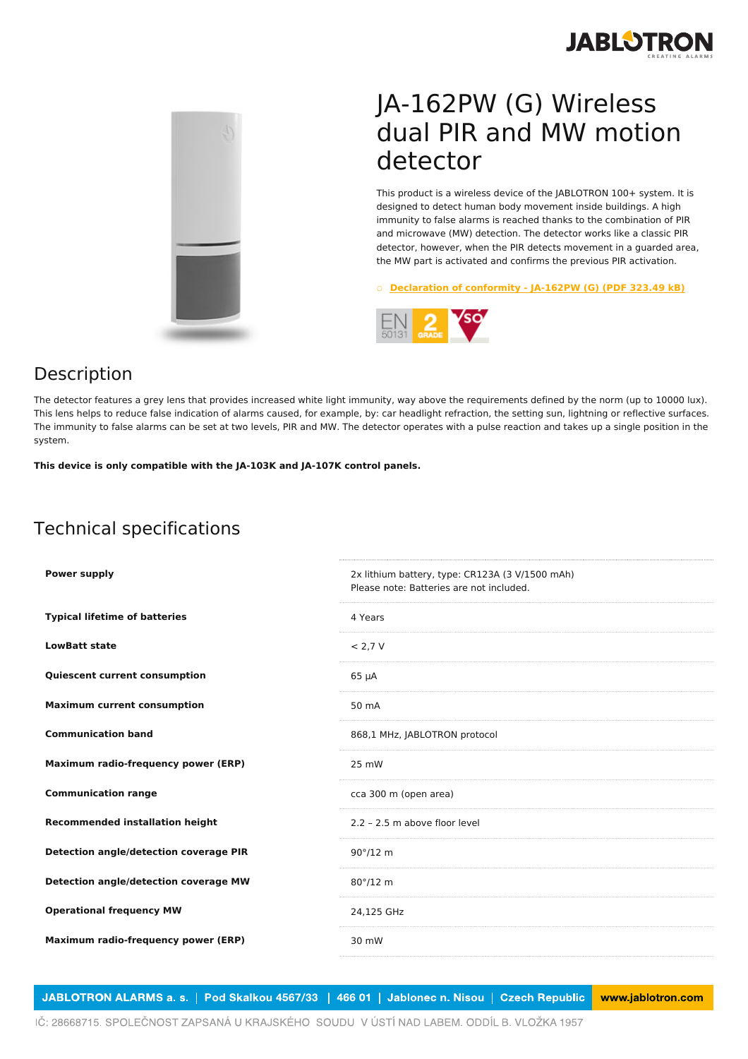



## JA-162PW (G) Wireless dual PIR and MW motion detector

This product is a wireless device of the JABLOTRON 100+ system. It is designed to detect human body movement inside buildings. A high immunity to false alarms is reached thanks to the combination of PIR and microwave (MW) detection. The detector works like a classic PIR detector, however, when the PIR detects movement in a guarded area, the MW part is activated and confirms the previous PIR activation.

○ **[Declaration](https://www.jablotron.com/en/template/product/1716/?file=0&jt_id=24702&hash=e5KerE&do=downloadCertificate) of conformity - JA-162PW (G) (PDF 323.49 kB)**



## Description

The detector features a grey lens that provides increased white light immunity, way above the requirements defined by the norm (up to 10000 lux). This lens helps to reduce false indication of alarms caused, for example, by: car headlight refraction, the setting sun, lightning or reflective surfaces. The immunity to false alarms can be set at two levels, PIR and MW. The detector operates with a pulse reaction and takes up a single position in the system.

**This device is only compatible with the JA-103K and JA-107K control panels.**

## Technical specifications

| <b>Power supply</b>                           | 2x lithium battery, type: CR123A (3 V/1500 mAh)<br>Please note: Batteries are not included. |
|-----------------------------------------------|---------------------------------------------------------------------------------------------|
| <b>Typical lifetime of batteries</b>          | 4 Years                                                                                     |
| <b>LowBatt state</b>                          | < 2.7 V                                                                                     |
| <b>Quiescent current consumption</b>          | $65 \mu A$                                                                                  |
| <b>Maximum current consumption</b>            | 50 mA                                                                                       |
| <b>Communication band</b>                     | 868,1 MHz, JABLOTRON protocol                                                               |
| Maximum radio-frequency power (ERP)           | 25 mW                                                                                       |
| <b>Communication range</b>                    | cca 300 m (open area)                                                                       |
| <b>Recommended installation height</b>        | 2.2 - 2.5 m above floor level                                                               |
| <b>Detection angle/detection coverage PIR</b> | $90^{\circ}/12$ m                                                                           |
| Detection angle/detection coverage MW         | $80^\circ/12$ m                                                                             |
| <b>Operational frequency MW</b>               | 24,125 GHz                                                                                  |
| Maximum radio-frequency power (ERP)           | 30 mW                                                                                       |
|                                               |                                                                                             |

JABLOTRON ALARMS a. s. | Pod Skalkou 4567/33 | 466 01 | Jablonec n. Nisou | Czech Republic www.jablotron.com